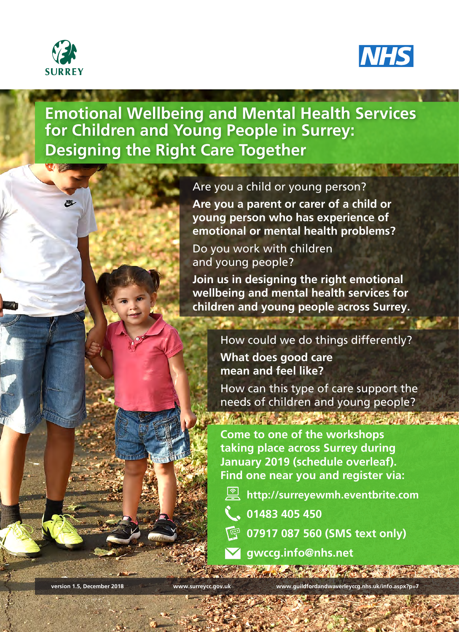



**Emotional Wellbeing and Mental Health Services for Children and Young People in Surrey: Designing the Right Care Together**

## Are you a child or young person?

**Are you a parent or carer of a child or young person who has experience of emotional or mental health problems?**

Do you work with children and young people?

**Join us in designing the right emotional wellbeing and mental health services for children and young people across Surrey.**

> How could we do things differently? **What does good care mean and feel like?**

How can this type of care support the needs of children and young people?

**Come to one of the workshops taking place across Surrey during January 2019 (schedule overleaf). Find one near you and register via:**

- **http://surreyewmh.eventbrite.com**
- **01483 405 450**
- **07917 087 560 (SMS text only)**
- **gwccg.info@nhs.net**

**version 1.5, December 2018 www.surreycc.gov.uk www.guildfordandwaverleyccg.nhs.uk/info.aspx?p=7**